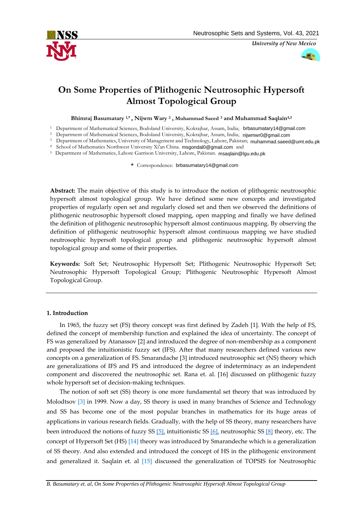

*University of New Mexico*



# **On Some Properties of Plithogenic Neutrosophic Hypersoft Almost Topological Group**

**Bhimraj Basumatary 1,\* , Nijwm Wary <sup>2</sup> , Muhammad Saeed <sup>3</sup> and Muhammad Saqlain4,5**

<sup>1</sup> Department of Mathematical Sciences, Bodoland University, Kokrajhar, Assam, India; [brbasumatary14@gmail.com](mailto:brbasumatary14@gmail.com)

<sup>2</sup> Department of Mathematical Sciences, Bodoland University, Kokrajhar, Assam, India; [nijwmwr0@gmail.com](mailto:nijwmwr0@gmail.com)

<sup>3</sup> Department of Mathematics, University of Management and Technology, Lahore, Pakistan; [muhammad.saeed@umt.edu.pk](mailto:muhammad.saeed@umt.edu.pk)

<sup>4</sup> School of Mathematics Northwest University Xi'an China. [msgondal0@gmail.com](mailto:msgondal0@gmail.com) and

<sup>5</sup> Department of Mathematics, Lahore Garrison University, Lahore, Pakistan. [msaqlain@lgu.edu.pk](mailto:msaqlain@lgu.edu.pk)

**\*** Correspondence: [brbasumatary14@gmail.com](mailto:brbasumatary14@gmail.com)

**Abstract:** The main objective of this study is to introduce the notion of plithogenic neutrosophic hypersoft almost topological group. We have defined some new concepts and investigated properties of regularly open set and regularly closed set and then we observed the definitions of plithogenic neutrosophic hypersoft closed mapping, open mapping and finally we have defined the definition of plithogenic neutrosophic hypersoft almost continuous mapping. By observing the definition of plithogenic neutrosophic hypersoft almost continuous mapping we have studied neutrosophic hypersoft topological group and plithogenic neutrosophic hypersoft almost topological group and some of their properties.

**Keywords:** Soft Set; Neutrosophic Hypersoft Set; Plithogenic Neutrosophic Hypersoft Set; Neutrosophic Hypersoft Topological Group; Plithogenic Neutrosophic Hypersoft Almost Topological Group.

# **1. Introduction**

In 1965, the fuzzy set (FS) theory concept was first defined by Zadeh [1]. With the help of FS, defined the concept of membership function and explained the idea of uncertainty. The concept of FS was generalized by Atanassov [2] and introduced the degree of non-membership as a component and proposed the intuitionistic fuzzy set (IFS). After that many researchers defined various new concepts on a generalization of FS. Smarandache [3] introduced neutrosophic set (NS) theory which are generalizations of IFS and FS and introduced the degree of indeterminacy as an independent component and discovered the neutrosophic set. Rana et. al. [16] discussed on plithogenic fuzzy whole hypersoft set of decision-making techniques.

The notion of soft set (SS) theory is one more fundamental set theory that was introduced by Molodtsov [3] in 1999. Now a day, SS theory is used in many branches of Science and Technology and SS has become one of the most popular branches in mathematics for its huge areas of applications in various research fields. Gradually, with the help of SS theory, many researchers have been introduced the notions of fuzzy SS [5], intuitionistic SS [6], neutrosophic SS [8] theory, etc. The concept of Hypersoft Set (HS) [14] theory was introduced by Smarandeche which is a generalization of SS theory. And also extended and introduced the concept of HS in the plithogenic environment and generalized it. Saqlain et. al [15] discussed the generalization of TOPSIS for Neutrosophic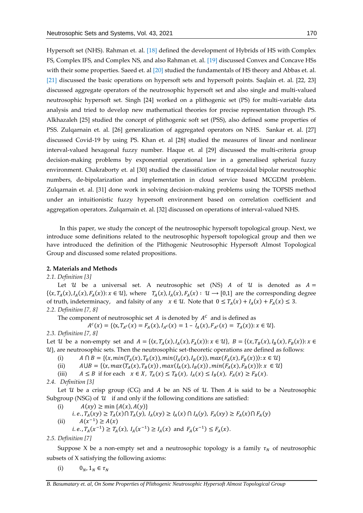Hypersoft set (NHS). Rahman et. al. [18] defined the development of Hybrids of HS with Complex FS, Complex IFS, and Complex NS, and also Rahman et. al. [19] discussed Convex and Concave HSs with their some properties. Saeed et. al [20] studied the fundamentals of HS theory and Abbas et. al. [21] discussed the basic operations on hypersoft sets and hypersoft points. Saqlain et. al. [22, 23] discussed aggregate operators of the neutrosophic hypersoft set and also single and multi-valued neutrosophic hypersoft set. Singh [24] worked on a plithogenic set (PS) for multi-variable data analysis and tried to develop new mathematical theories for precise representation through PS. Alkhazaleh [25] studied the concept of plithogenic soft set (PSS), also defined some properties of PSS. Zulqarnain et. al. [26] generalization of aggregated operators on NHS. Sankar et. al. [27] discussed Covid-19 by using PS. Khan et. al [28] studied the measures of linear and nonlinear interval-valued hexagonal fuzzy number. Haque et. al [29] discussed the multi-criteria group decision-making problems by exponential operational law in a generalised spherical fuzzy environment. Chakraborty et. al [30] studied the classification of trapezoidal bipolar neutrosophic numbers, de-bipolarization and implementation in cloud service based MCGDM problem. Zulqarnain et. al. [31] done work in solving decision-making problems using the TOPSIS method under an intuitionistic fuzzy hypersoft environment based on correlation coefficient and aggregation operators. Zulqarnain et. al. [32] discussed on operations of interval-valued NHS.

In this paper, we study the concept of the neutrosophic hypersoft topological group. Next, we introduce some definitions related to the neutrosophic hypersoft topological group and then we have introduced the definition of the Plithogenic Neutrosophic Hypersoft Almost Topological Group and discussed some related propositions.

# **2. Materials and Methods**

*2.1. Definition [3]*

Let  $\mathcal U$  be a universal set. A neutrosophic set (NS) A of  $\mathcal U$  is denoted as  $A =$  $\{(x, T_A(x), I_A(x), F_A(x)) : x \in U\}$ , where  $T_A(x), I_A(x), F_A(x) : U \to [0,1]$  are the corresponding degree of truth, indeterminacy, and falsity of any  $x \in \mathcal{U}$ . Note that  $0 \leq T_A(x) + I_A(x) + F_A(x) \leq 3$ . *2.2. Definition [7, 8]*

The component of neutrosophic set A is denoted by  $A^C$  and is defined as

$$
A^{c}(x) = \{ \langle x, T_{A^{c}}(x) = F_{A}(x), I_{A^{c}}(x) = 1 - I_{A}(x), F_{A^{c}}(x) = T_{A}(x) \rangle : x \in U \}.
$$

*2.3. Definition [7, 8]*

Let U be a non-empty set and  $A = \{(x, T_A(x), I_A(x), F_A(x)) : x \in U\}$ ,  $B = \{(x, T_B(x), I_B(x), F_B(x)) : x \in U\}$  $\mathcal{U}$ , are neutrosophic sets. Then the neutrosophic set-theoretic operations are defined as follows:

- (i)  $A \cap B = \{ (x, min(T_A(x), T_B(x)), min(I_A(x), I_B(x)), max(F_A(x), F_B(x))): x \in U \}$
- (ii)  $A \cup B = \{ (x, max(T_A(x), T_B(x)), max(I_A(x), I_B(x)), min(F_A(x), F_B(x))): x \in U \}$
- (iii)  $A \leq B$  if for each  $x \in X$ ,  $T_A(x) \leq T_B(x)$ ,  $I_A(x) \leq I_B(x)$ ,  $F_A(x) \geq F_B(x)$ .
- *2.4. Definition [3]*

Let  $\mathcal U$  be a crisp group (CG) and  $A$  be an NS of  $\mathcal U$ . Then  $A$  is said to be a Neutrosophic Subgroup (NSG) of  $U$  if and only if the following conditions are satisfied:

- (i)  $A(xy) \ge \min \{A(x), A(y)\}\$
- $i.e., T_A(xy) \ge T_A(x) \cap T_A(y), I_A(xy) \ge I_A(x) \cap I_A(y), F_A(xy) \ge F_A(x) \cap F_A(y)$
- (ii)  $A(x^{-1}) \ge A(x)$ 
	- *i.e.*,  $T_A(x^{-1}) \ge T_A(x)$ ,  $I_A(x^{-1}) \ge I_A(x)$  and  $F_A(x^{-1}) \le F_A(x)$ .

*2.5. Definition [7]*

Suppose X be a non-empty set and a neutrosophic topology is a family  $\tau_N$  of neutrosophic subsets of X satisfying the following axioms:

(i)  $0_N, 1_N \in \tau_N$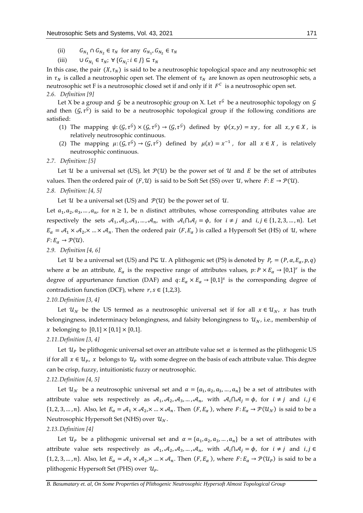- (ii)  $G_{N_1} \cap G_{N_2} \in \tau_N$  for any  $G_{N_1}, G_{N_2} \in \tau_N$
- (iii)  $\cup G_{N_i} \in \tau_N; \forall \{G_{N_i}: i \in J\} \subseteq \tau_N$

In this case, the pair  $(X, \tau_N)$  is said to be a neutrosophic topological space and any neutrosophic set in  $\tau_N$  is called a neutrosophic open set. The element of  $\tau_N$  are known as open neutrosophic sets, a neutrosophic set F is a neutrosophic closed set if and only if it  $\,F^{\mathcal{C}}\,$  is a neutrosophic open set. *2.6. Definition [9]*

Let X be a group and  $\mathcal G$  be a neutrosophic group on X. Let  $\tau^\mathcal G$  be a neutrosophic topology on  $\mathcal G$ and then  $(\mathcal{G}, \tau^{\mathcal{G}})$  is said to be a neutrosophic topological group if the following conditions are satisfied:

- (1) The mapping  $\psi$ :  $(\mathcal{G}, \tau^{\mathcal{G}}) \times (\mathcal{G}, \tau^{\mathcal{G}}) \to (\mathcal{G}, \tau^{\mathcal{G}})$  defined by  $\psi(x, y) = xy$ , for all  $x, y \in X$ , is relatively neutrosophic continuous.
- (2) The mapping  $\mu: (G, \tau^G) \to (G, \tau^G)$  defined by  $\mu(x) = x^{-1}$ , for all  $x \in X$ , is relatively neutrosophic continuous.

#### *2.7. Definition: [5]*

Let U be a universal set (US), let  $\mathcal{P}(\mathcal{U})$  be the power set of U and E be the set of attributes values. Then the ordered pair of  $(F, \mathcal{U})$  is said to be Soft Set (SS) over  $\mathcal{U}$ , where  $F: E \to \mathcal{P}(\mathcal{U})$ . *2.8. Definition: [4, 5]*

Let  $\mathcal U$  be a universal set (US) and  $\mathcal P(\mathcal U)$  be the power set of  $\mathcal U$ .

Let  $a_1, a_2, a_3, ..., a_n$ , for  $n \ge 1$ , be n distinct attributes, whose corresponding attributes value are respectively the sets  $A_1, A_2, A_3, ..., A_n$ , with  $A_i \cap A_j = \emptyset$ , for  $i \neq j$  and  $i, j \in \{1, 2, 3, ..., n\}$ . Let  $E_\alpha = A_1 \times A_2$ ,  $\ldots \times A_n$ . Then the ordered pair  $(F, E_\alpha)$  is called a Hypersoft Set (HS) of U, where  $F: E_{\alpha} \to \mathcal{P}(\mathcal{U}).$ 

# *2.9. Definition [4, 6]*

Let *U* be a universal set (US) and P⊆ *U*. A plithogenic set (PS) is denoted by  $P_r = (P, \alpha, E_\alpha, p, q)$ where  $\alpha$  be an attribute,  $E_{\alpha}$  is the respective range of attributes values,  $p: P \times E_{\alpha} \to [0,1]^r$  is the degree of appurtenance function (DAF) and  $q: E_{\alpha} \times E_{\alpha} \to [0,1]^s$  is the corresponding degree of contradiction function (DCF), where  $r, s \in \{1,2,3\}$ .

# *2.10.Definition [3, 4]*

Let  $u<sub>W</sub>$  be the US termed as a neutrosophic universal set if for all  $x \in u<sub>W</sub>$ , x has truth belongingness, indeterminacy belongingness, and falsity belongingness to  $u<sub>N</sub>$ , i.e., membership of *x* belonging to  $[0,1] \times [0,1] \times [0,1]$ .

#### *2.11.Definition [3, 4]*

Let  $\mathcal{U}_P$  be plithogenic universal set over an attribute value set  $\alpha$  is termed as the plithogenic US if for all  $x \in \mathcal{U}_P$ , x belongs to  $\mathcal{U}_P$  with some degree on the basis of each attribute value. This degree can be crisp, fuzzy, intuitionistic fuzzy or neutrosophic.

# *2.12.Definition [4, 5]*

Let  $u_{\mathcal{N}}$  be a neutrosophic universal set and  $\alpha = \{a_1, a_2, a_3, ..., a_n\}$  be a set of attributes with attribute value sets respectively as  $A_1, A_2, A_3, ..., A_n$ , with  $A_i \cap A_j = \phi$ , for  $i \neq j$  and  $i, j \in$  $\{1, 2, 3, ..., n\}$ . Also, let  $E_\alpha = \mathcal{A}_1 \times \mathcal{A}_2$ , $\times ... \times \mathcal{A}_n$ . Then  $(F, E_\alpha)$ , where  $F: E_\alpha \to \mathcal{P}(\mathcal{U}_\mathcal{N})$  is said to be a Neutrosophic Hypersoft Set (NHS) over  $u<sub>N</sub>$ .

# *2.13.Definition [4]*

Let  $u_p$  be a plithogenic universal set and  $\alpha = \{a_1, a_2, a_3, ..., a_n\}$  be a set of attributes with attribute value sets respectively as  $A_1, A_2, A_3, ..., A_n$ , with  $A_i \cap A_j = \phi$ , for  $i \neq j$  and  $i, j \in$  $\{1, 2, 3, ..., n\}$ . Also, let  $E_\alpha = \mathcal{A}_1 \times \mathcal{A}_2$ ,  $\times ... \times \mathcal{A}_n$ . Then  $(F, E_\alpha)$ , where  $F: E_\alpha \to \mathcal{P}(\mathcal{U}_P)$  is said to be a plithogenic Hypersoft Set (PHS) over  $u_p$ .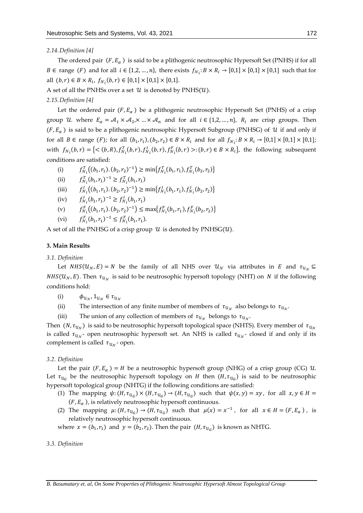# *2.14.Definition [4]*

The ordered pair  $(F, E_\alpha)$  is said to be a plithogenic neutrosophic Hypersoft Set (PNHS) if for all *B* ∈ range (*F*) and for all *i* ∈ {1,2, ..., *n*}, there exists  $f_{N_i}: B \times R_i \to [0,1] \times [0,1] \times [0,1]$  such that for all  $(b, r) \in B \times R_i$ ,  $f_{\mathcal{N}_i}(b, r) \in [0, 1] \times [0, 1] \times [0, 1]$ .

A set of all the PNHSs over a set  $U$  is denoted by PNHS( $U$ ).

*2.15.Definition [4]*

Let the ordered pair  $(F, E_{\alpha})$  be a plithogenic neutrosophic Hypersoft Set (PNHS) of a crisp group U where  $E_{\alpha} = A_1 \times A_2 \times ... \times A_n$  and for all  $i \in \{1, 2, ..., n\}$ ,  $R_i$  are crisp groups. Then  $(F, E_{\alpha})$  is said to be a plithogenic neutrosophic Hypersoft Subgroup (PNHSG) of U if and only if for all  $B \in \text{range}(F)$ ; for all  $(b_1, r_1), (b_2, r_2) \in B \times R_i$  and for all  $f_{\mathcal{N}_i}: B \times R_i \to [0,1] \times [0,1] \times [0,1]$ ; with  $f_{N_i}(b,r) = \{<(b,R), f_{N_i}^T(b,r), f_{N_i}^T(b,r), f_{N_i}^F(b,r) >:(b,r) \in B \times R_i\}$ , the following subsequent conditions are satisfied:

(i)  $f_{\mathcal{N}_i}^T((b_1, r_1) \cdot (b_2, r_2)^{-1}) \ge \min\{f_{\mathcal{N}_i}^T(b_1, r_1), f_{\mathcal{N}_i}^T(b_2, r_2)\}\$ 

(ii)  $f_{\mathcal{N}_i}^T(b_1, r_1)^{-1} \ge f_{\mathcal{N}_i}^T(b_1, r_1)$ 

(iii) 
$$
f_{\mathcal{N}_i}^I((b_1, r_1), (b_2, r_2)^{-1}) \ge \min\{f_{\mathcal{N}_i}^I(b_1, r_1), f_{\mathcal{N}_i}^I(b_2, r_2)\}
$$

(iv)  $f_{\mathcal{N}_i}^l(b_1, r_1)^{-1} \ge f_{\mathcal{N}_i}^l(b_1, r_1)$ 

(v)  $f_{N_i}^F((b_1, r_1) \cdot (b_2, r_2)^{-1}) \leq \max\{f_{N_i}^F(b_1, r_1), f_{N_i}^F(b_2, r_2)\}$ 

(vi) 
$$
f_{\mathcal{N}_i}^F(b_1, r_1)^{-1} \leq f_{\mathcal{N}_i}^F(b_1, r_1).
$$

A set of all the PNHSG of a crisp group  $U$  is denoted by PNHSG( $U$ ).

# **3. Main Results**

# *3.1. Definition*

Let  $NHS(U_N, E) = N$  be the family of all NHS over  $U_N$  via attributes in E and  $\tau_{U_N} \subseteq$ *NHS*( $u_N$ , E). Then  $\tau_{u_N}$  is said to be neutrosophic hypersoft topology (NHT) on N if the following conditions hold:

- (i)  $\phi_{u_N}, 1_{u_N} \in \tau_{u_N}$
- (ii) The intersection of any finite number of members of  $\tau_{u_N}$  also belongs to  $\tau_{u_N}$ .

(iii) The union of any collection of members of  $\tau_{\mathcal{U}_\mathcal{N}}$  belongs to  $\tau_{\mathcal{U}_\mathcal{N}}$ .

Then  $(N,\tau_{\mathcal{U}_\mathcal{N}})$  is said to be neutrosophic hypersoft topological space (NHTS). Every member of  $\,\tau_{\mathcal{U}_\mathcal{N}}\,$ is called  $\tau_{u_{\mathcal{N}}}$ - open neutrosophic hypersoft set. An NHS is called  $\tau_{u_{\mathcal{N}}}$ - closed if and only if its complement is called  $\tau_{u_{\mathcal{N}}}$ - open.

# *3.2. Definition*

Let the pair  $(F, E_\alpha) = H$  be a neutrosophic hypersoft group (NHG) of a crisp group (CG)  $U$ . Let  $\tau_{u_G}$  be the neutrosophic hypersoft topology on H then  $(H, \tau_{u_G})$  is said to be neutrosophic hypersoft topological group (NHTG) if the following conditions are satisfied:

- (1) The mapping  $\psi: (H, \tau_{u_G}) \times (H, \tau_{u_G}) \to (H, \tau_{u_G})$  such that  $\psi(x, y) = xy$ , for all  $x, y \in H =$  $(F, E_\alpha)$ , is relatively neutrosophic hypersoft continuous.
- (2) The mapping  $\mu$ :  $(H, \tau_{u_G}) \rightarrow (H, \tau_{u_G})$  such that  $\mu(x) = x^{-1}$ , for all  $x \in H = (F, E_\alpha)$ , is relatively neutrosophic hypersoft continuous.

where  $x = (b_1, r_1)$  and  $y = (b_2, r_2)$ . Then the pair  $(H, \tau_{U_G})$  is known as NHTG.

#### *3.3. Definition*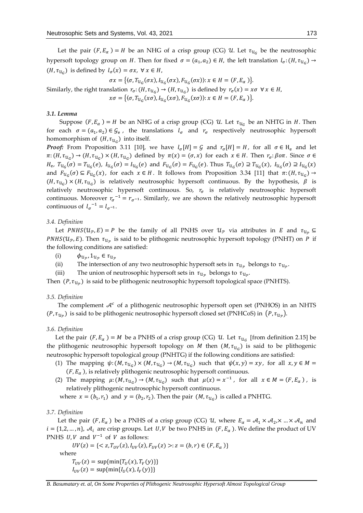Let the pair  $(F, E_\alpha) = H$  be an NHG of a crisp group (CG) U. Let  $\tau_{u_G}$  be the neutrosophic hypersoft topology group on H. Then for fixed  $\sigma = (a_1, a_2) \in H$ , the left translation  $l_{\sigma}$ :  $(H, \tau_{U_G}) \rightarrow$  $(H, \tau_{\mathcal{U}_G})$  is defined by  $l_\sigma(x) = \sigma x$ ,  $\forall x \in H$ ,

$$
\sigma x = \{ (\sigma, T_{\mathcal{U}_G}(\sigma x), I_{\mathcal{U}_G}(\sigma x), F_{\mathcal{U}_G}(\sigma x)) : x \in H = (F, E_\alpha) \}.
$$

Similarly, the right translation  $r_{\sigma}$ :  $(H, \tau_{u_G}) \rightarrow (H, \tau_{u_G})$  is defined by  $r_{\sigma}(x) = x\sigma \ \forall x \in H$ ,  $x\sigma = {\langle \sigma, T_{u_G}(x\sigma), I_{u_G}(x\sigma), F_{u_G}(x\sigma) \rangle : x \in H = (F, E_\alpha)}.$ 

#### *3.1. Lemma*

Suppose  $(F, E_\alpha) = H$  be an NHG of a crisp group (CG)  $\mathcal U$ . Let  $\tau_{\mathcal U_G}$  be an NHTG in H. Then for each  $\sigma = (a_1, a_2) \in \mathcal{G}_e$ , the translations  $l_{\sigma}$  and  $r_{\sigma}$  respectively neutrosophic hypersoft homomorphism of  $(H, \tau_{\mathcal{U}_G})$  into itself.

*Proof:* From Proposition 3.11 [10], we have  $l_{\sigma}[H] = G$  and  $r_{\sigma}[H] = H$ , for all  $\sigma \in H_{e}$  and let  $\pi: (H, \tau_{u_G}) \to (H, \tau_{u_G}) \times (H, \tau_{u_G})$  defined by  $\pi(x) = (\sigma, x)$  for each  $x \in H$ . Then  $r_\sigma: \beta \circ \pi$ . Since  $\sigma \in$  $H_e$ ,  $T_{u_G}(\sigma) = T_{u_G}(e)$ ,  $I_{u_G}(\sigma) = I_{u_G}(e)$  and  $F_{u_G}(\sigma) = F_{u_G}(e)$ . Thus  $T_{u_G}(\sigma) \supseteq T_{u_G}(x)$ ,  $I_{u_G}(\sigma) \supseteq I_{u_G}(x)$ and  $F_{u_G}(\sigma) \subseteq F_{u_G}(x)$ , for each  $x \in H$ . It follows from Proposition 3.34 [11] that  $\pi: (H, \tau_{u_G}) \to$  $(H, \tau_{u_G}) \times (H, \tau_{u_G})$  is relatively neutrosophic hypersoft continuous. By the hypothesis,  $\beta$  is relatively neutrosophic hypersoft continuous. So,  $r<sub>g</sub>$  is relatively neutrosophic hypersoft continuous. Moreover  $r_{\sigma}^{-1} = r_{\sigma^{-1}}$ . Similarly, we are shown the relatively neutrosophic hypersoft continuous of  $l_{\sigma}^{-1} = l_{\sigma^{-1}}$ .

#### *3.4. Definition*

Let  $PMHS(\mathcal{U}_{\mathcal{P}}, E) = P$  be the family of all PNHS over  $\mathcal{U}_{\mathcal{P}}$  via attributes in  $E$  and  $\tau_{\mathcal{U}_{\mathcal{P}}} \subseteq$ *PNHS*( $u_p$ , *E*). Then  $\tau_{u_p}$  is said to be plithogenic neutrosophic hypersoft topology (PNHT) on *P* if the following conditions are satisfied:

- (i)  $\phi_{u_p}, 1_{u_p} \in \tau_{u_p}$
- (ii) The intersection of any two neutrosophic hypersoft sets in  $\tau_{u_p}$  belongs to  $\tau_{u_p}$ .
- (iii) The union of neutrosophic hypersoft sets in  $\tau_{u_p}$  belongs to  $\tau_{u_p}$ .

Then  $(P, \tau_{u_p})$  is said to be plithogenic neutrosophic hypersoft topological space (PNHTS).

#### *3.5. Definition*

The complement  $\mathcal{A}^c$  of a plithogenic neutrosophic hypersoft open set (PNHOS) in an NHTS  $(P, \tau_{u_p})$  is said to be plithogenic neutrosophic hypersoft closed set (PNHCoS) in  $(P, \tau_{u_p})$ .

#### *3.6. Definition*

Let the pair  $(F, E_{\alpha}) = M$  be a PNHS of a crisp group (CG)  $U$ . Let  $\tau_{U_G}$  [from definition 2.15] be the plithogenic neutrosophic hypersoft topology on  $M$  then  $(M, \tau_{U_G})$  is said to be plithogenic neutrosophic hypersoft topological group (PNHTG) if the following conditions are satisfied:

- (1) The mapping  $\psi$ :  $(M, \tau_{u_G}) \times (M, \tau_{u_G}) \rightarrow (M, \tau_{u_G})$  such that  $\psi(x, y) = xy$ , for all  $x, y \in M =$  $(F, E_\alpha)$ , is relatively plithogenic neutrosophic hypersoft continuous.
- (2) The mapping  $\mu$ :  $(M, \tau_{u_G}) \rightarrow (M, \tau_{u_G})$  such that  $\mu(x) = x^{-1}$ , for all  $x \in M = (F, E_\alpha)$ , is relatively plithogenic neutrosophic hypersoft continuous.

where  $x = (b_1, r_1)$  and  $y = (b_2, r_2)$ . Then the pair  $(M, \tau_{U_G})$  is called a PNHTG.

# *3.7. Definition*

Let the pair  $(F, E_\alpha)$  be a PNHS of a crisp group (CG) U, where  $E_\alpha = \mathcal{A}_1 \times \mathcal{A}_2$ ,  $\times ... \times \mathcal{A}_n$  and  $i = \{1, 2, ..., n\}$ ,  $\mathcal{A}_i$  are crisp groups. Let U, V be two PNHS in  $(F, E_\alpha)$ . We define the product of UV PNHS  $U, V$  and  $V^{-1}$  of  $V$  as follows:

 $UV(z) = \{ \langle z, T_{UV}(z), I_{UV}(z), F_{UV}(z) \rangle : z = (b, r) \in (F, E_{\alpha}) \}$ where  $T_{UV}(z) = \sup\{\min\{T_U(x), T_V(y)\}\}\$  $I_{UV}(z) = \sup{\min\{I_U(x), I_V(y)\}\}\$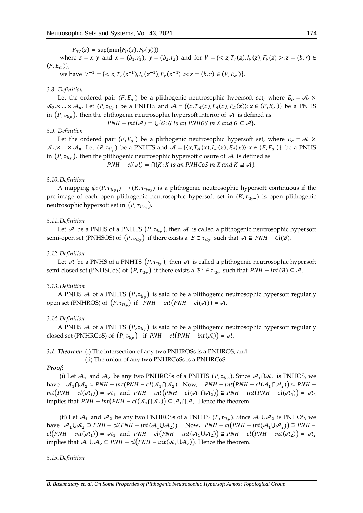$F_{UV}(z) = \sup{\min{F_U(x), F_V(y)}}\}$ 

where  $z = x \cdot y$  and  $x = (b_1, r_1); y = (b_2, r_2)$  and for  $V = \{ \langle z, T_V(z), I_V(z), F_V(z) \rangle : z = (b, r) \in$  $(F, E_\alpha)\},\,$ 

we have  $V^{-1} = \{ \langle z, T_V(z^{-1}), I_V(z^{-1}), F_V(z^{-1}) \rangle : z = (b, r) \in (F, E_\alpha) \}.$ 

# *3.8. Definition*

Let the ordered pair  $(F, E_\alpha)$  be a plithogenic neutrosophic hypersoft set, where  $E_\alpha = A_1 \times$  $A_2$ , $\times ... \times A_n$ . Let  $(P, \tau_{U_p})$  be a PNHTS and  $A = \{(x, T_{\mathcal{A}}(x), I_{\mathcal{A}}(x), F_{\mathcal{A}}(x)) : x \in (F, E_\alpha)\}\)$  be a PNHS in  $(P, \tau_{\mathcal{U}_{\mathcal{P}}})$ , then the plithogenic neutrosophic hypersoft interior of  $\,\mathcal{A}\,$  is defined as

 $PNH - int(\mathcal{A}) = \bigcup \{G : G \text{ is an } PMHOS \text{ in } X \text{ and } G \subseteq \mathcal{A}\}.$ 

# *3.9. Definition*

Let the ordered pair  $(F, E_\alpha)$  be a plithogenic neutrosophic hypersoft set, where  $E_\alpha = A_1 \times$  $A_2$ , $\times ... \times A_n$ . Let  $(P, \tau_{u_p})$  be a PNHTS and  $A = \{(x, T_{\mathcal{A}}(x), I_{\mathcal{A}}(x), F_{\mathcal{A}}(x)) : x \in (F, E_\alpha)\}\)$ , be a PNHS in  $(P, \tau_{\mathcal{U}_{\mathcal{P}}})$ , then the plithogenic neutrosophic hypersoft closure of  $\,\mathcal{A}\,$  is defined as

 $PNH-cl(\mathcal{A}) = \bigcap \{K: K \text{ is an } PNHCoS \text{ in } X \text{ and } K \supseteq \mathcal{A}\}.$ 

#### *3.10.Definition*

A mapping  $\phi: (P, \tau_{u_{p_1}}) \to (K, \tau_{u_{p_2}})$  is a plithogenic neutrosophic hypersoft continuous if the pre-image of each open plithogenic neutrosophic hypersoft set in  $(K, \tau_{\mathcal{U}_{\mathcal{P}2}})$  is open plithogenic neutrosophic hypersoft set in  $(P, \tau_{\mathcal{U}_{\mathcal{P}1}})$ .

#### *3.11.Definition*

Let  ${\cal A}$  be a PNHS of a PNHTS  $(P, \tau_{\mathcal U_{\mathcal P}})$ , then  ${\cal A}$  is called a plithogenic neutrosophic hypersoft semi-open set (PNHSOS) of  $(P, \tau_{\mathcal{U}_{\mathcal{P}}})$  if there exists a  $\mathcal{B} \in \tau_{\mathcal{U}_{\mathcal{P}}}$  such that  $\mathcal{A} \subseteq PNH - Cl(\mathcal{B})$ .

#### *3.12.Definition*

Let  ${\cal A}$  be a PNHS of a PNHTS  $(P, \tau_{\mathcal U_{\cal P}})$ , then  ${\cal A}$  is called a plithogenic neutrosophic hypersoft semi-closed set (PNHSCoS) of  $(P, \tau_{u_p})$  if there exists a  $B^c \in \tau_{u_p}$  such that  $\mathit{PNH-Int}(B) \subseteq \mathcal{A}$ .

#### *3.13.Definition*

A PNHS  $\mathcal A$  of a PNHTS  $(P, \tau_{\mathcal U_{\mathcal P}})$  is said to be a plithogenic neutrosophic hypersoft regularly open set (PNHROS) of  $(P, \tau_{u_p})$  if  $PNH - int(PNH - cl(\mathcal{A})) = \mathcal{A}$ .

# *3.14.Definition*

A PNHS  $\mathcal A$  of a PNHTS  $(P, \tau_{\mathcal U_{\mathcal P}})$  is said to be a plithogenic neutrosophic hypersoft regularly closed set (PNHRCoS) of  $(P, \tau_{u_p})$  if  $PNH - cl(PNH - int(A)) = A$ .

#### *3.1. Theorem:* (i) The intersection of any two PNHROSs is a PNHROS, and

(ii) The union of any two PNHRCoSs is a PNHRCoS.

# *Proof:*

(i) Let  $A_1$  and  $A_2$  be any two PNHROSs of a PNHTS  $(P, \tau_{\mathcal{U}_p})$ . Since  $A_1 \cap A_2$  is PNHOS, we have  $\mathcal{A}_1 \cap \mathcal{A}_2 \subseteq PNH - int(PNH - cl(\mathcal{A}_1 \cap \mathcal{A}_2)$ . Now,  $PNH - int(PNH - cl(\mathcal{A}_1 \cap \mathcal{A}_2)) \subseteq PNH$  $int(PNH - cl(\mathcal{A}_1)) = \mathcal{A}_1$  and  $PMH - int(PNH - cl(\mathcal{A}_1 \cap \mathcal{A}_2)) \subseteq PMH - int(PNH - cl(\mathcal{A}_2)) = \mathcal{A}_2$ implies that  $\mathit{PNH} - \mathit{int}\big(\mathcal{P}\mathit{NH} - \mathit{cl}(\mathcal{A}_1\cap \mathcal{A}_2)\big) \subseteq \mathcal{A}_1\cap \mathcal{A}_2.$  Hence the theorem.

(ii) Let  $A_1$  and  $A_2$  be any two PNHROSs of a PNHTS  $(P, \tau_{\mathcal{U}_{\mathcal{P}}})$ . Since  $A_1 \cup A_2$  is PNHOS, we have  $\mathcal{A}_1 \cup \mathcal{A}_2 \supseteq PNH - cl(PNH - int(\mathcal{A}_1 \cup \mathcal{A}_2))$ . Now,  $PNH - cl(PNH - int(\mathcal{A}_1 \cup \mathcal{A}_2)) \supseteq PNH \text{cl}(PNH-int(\mathcal{A}_1)) = \mathcal{A}_1$  and  $PNH-cl(PNH-int(\mathcal{A}_1\cup\mathcal{A}_2)) \supseteq PNH-cl(PNH-int(\mathcal{A}_2)) = \mathcal{A}_2$ implies that  ${\mathcal A}_1\cup {\mathcal A}_2\subseteq {\it PNH}-{\it cl}({\it PNH}-{\it int}({\mathcal A}_1\cup {\mathcal A}_2)).$  Hence the theorem.

#### *3.15.Definition*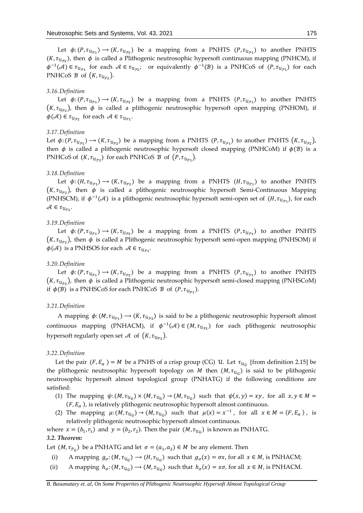Let  $\phi: (P, \tau_{u_{p_1}}) \to (K, \tau_{u_{p_2}})$  be a mapping from a PNHTS  $(P, \tau_{u_{p_1}})$  to another PNHTS (*K*,  $\tau_{u_{p_2}}$ ), then  $\phi$  is called a Plithogenic neutrosophic hypersoft continuous mapping (PNHCM), if  $\phi^{-1}(\mathcal{A}) \in \tau_{\mathcal{U}_{\mathcal{P}_1}}$  for each  $\mathcal{A} \in \tau_{\mathcal{U}_{\mathcal{P}_2}}$ ; or equivalently  $\phi^{-1}(\mathcal{B})$  is a PNHCoS of  $(P, \tau_{\mathcal{U}_{\mathcal{P}_1}})$  for each PNHCoS  $\mathcal{B}$  of  $(K, \tau_{\mathcal{U}_{\mathcal{P}2}})$ .

#### *3.16.Definition*

Let  $\phi: (P, \tau_{u_{p_1}}) \to (K, \tau_{u_{p_2}})$  be a mapping from a PNHTS  $(P, \tau_{u_{p_1}})$  to another PNHTS  $(K, \tau_{\mathcal{U}_{P2}})$ , then  $\phi$  is called a plithogenic neutrosophic hypersoft open mapping (PNHOM), if  $\phi(\mathcal{A}) \in \tau_{\mathcal{U}_{\mathcal{P2}}}$  for each  $\mathcal{A} \in \tau_{\mathcal{U}_{\mathcal{P1}}}.$ 

#### *3.17.Definition*

Let  $\phi\colon (P,\tau_{u_{p_1}})\to (K,\tau_{u_{p_2}})$  be a mapping from a PNHTS  $(P,\tau_{u_{p_1}})$  to another PNHTS  $(K,\tau_{u_{p_2}})$ , then  $\phi$  is called a plithogenic neutrosophic hypersoft closed mapping (PNHCoM) if  $\phi(\mathcal{B})$  is a PNHCoS of  $(K, \tau_{u_{p_2}})$  for each PNHCoS  $\mathcal B$  of  $(P, \tau_{u_{p_1}})$ .

# *3.18.Definition*

Let  $\phi: (H, \tau_{\mathcal{U}_{\mathcal{P}1}}) \to (K, \tau_{\mathcal{U}_{\mathcal{P}2}})$  be a mapping from a PNHTS  $(H, \tau_{\mathcal{U}_{\mathcal{P}1}})$  to another PNHTS  $(K, \tau_{u_{p_2}})$ , then  $\phi$  is called a plithogenic neutrosophic hypersoft Semi-Continuous Mapping (PNHSCM), if  $\phi^{-1}(\mathcal{A})$  is a plithogenic neutrosophic hypersoft semi-open set of  $(H, \tau_{\mathcal{U}_{p_1}})$ , for each  $\mathcal{A} \in \tau_{\mathcal{U}_{\mathcal{P2}}}.$ 

# *3.19.Definition*

Let  $\phi: (P, \tau_{u_{p_1}}) \to (K, \tau_{u_{p_2}})$  be a mapping from a PNHTS  $(P, \tau_{u_{p_1}})$  to another PNHTS  $(K, \tau_{\mathcal{U}_{P2}})$ , then  $\phi$  is called a Plithogenic neutrosophic hypersoft semi-open mapping (PNHSOM) if  $\phi(\mathcal{A})$  is a PNHSOS for each  $\,\mathcal{A}\in\tau_{\mathcal{U}_{\mathcal{P}1}}.$ 

# *3.20.Definition*

Let  $\phi: (P, \tau_{u_{p_1}}) \to (K, \tau_{u_{p_2}})$  be a mapping from a PNHTS  $(P, \tau_{u_{p_1}})$  to another PNHTS  $(K, \tau_{\mathcal{U}_{\mathcal{PZ}}})$ , then  $\phi$  is called a Plithogenic neutrosophic hypersoft semi-closed mapping (PNHSCoM) if  $\phi(\mathcal{B})$  is a PNHSCoS for each PNHCoS  $\mathcal{B}$  of  $(P, \tau_{\mathcal{U}_{\mathcal{P}1}})$ .

# *3.21.Definition*

A mapping  $\phi$ : (*M*,  $\tau_{u_{p_1}}$ )  $\to$  (*K*,  $\tau_{u_{p_2}}$ ) is said to be a plithogenic neutrosophic hypersoft almost continuous mapping (PNHACM), if  $\phi^{-1}(\mathcal{A}) \in (M, \tau_{\mathcal{U}_{\mathcal{P}1}})$  for each plithogenic neutrosophic hypersoft regularly open set  $\mathcal A$  of  $(K,\tau_{\mathcal{U}_{\mathcal{P}2}}).$ 

#### *3.22.Definition*

Let the pair  $(F, E_{\alpha}) = M$  be a PNHS of a crisp group (CG)  $U$ . Let  $\tau_{U_G}$  [from definition 2.15] be the plithogenic neutrosophic hypersoft topology on  $M$  then  $(M, \tau_{\mathcal{U}_G})$  is said to be plithogenic neutrosophic hypersoft almost topological group (PNHATG) if the following conditions are satisfied:

- (1) The mapping  $\psi$ :  $(M, \tau_{u_G}) \times (M, \tau_{u_G}) \rightarrow (M, \tau_{u_G})$  such that  $\psi(x, y) = xy$ , for all  $x, y \in M =$  $(F, E_\alpha)$ , is relatively plithogenic neutrosophic hypersoft almost continuous.
- (2) The mapping  $\mu$ :  $(M, \tau_{u_G}) \rightarrow (M, \tau_{u_G})$  such that  $\mu(x) = x^{-1}$ , for all  $x \in M = (F, E_\alpha)$ , is relatively plithogenic neutrosophic hypersoft almost continuous.

where  $x = (b_1, r_1)$  and  $y = (b_2, r_2)$ . Then the pair  $(M, \tau_{U_G})$  is known as PNHATG. *3.2. Theorem:*

Let  $(M, \tau_{\mathcal{P}_G})$  be a PNHATG and let  $\sigma = (\alpha_1, \alpha_2) \in M$  be any element. Then

- (i) A mapping  $g_{\sigma}$ :  $(M, \tau_{u_G}) \rightarrow (H, \tau_{u_G})$  such that  $g_{\sigma}(x) = \sigma x$ , for all  $x \in M$ , is PNHACM;
- (ii) A mapping  $h_{\sigma}:(M, \tau_{\mathcal{U}_G}) \to (M, \tau_{\mathcal{U}_G})$  such that  $h_{\sigma}(x) = x\sigma$ , for all  $x \in M$ , is PNHACM.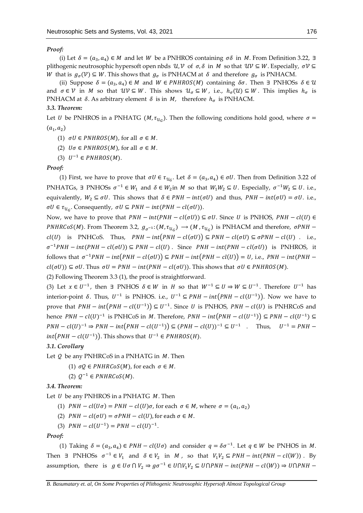# *Proof:*

(i) Let  $\delta = (a_3, a_4) \in M$  and let *W* be a PNHROS containing  $\sigma \delta$  in *M*. From Definition 3.22, ∃ plithogenic neutrosophic hypersoft open nbds  $\mathcal{U}, \mathcal{V}$  of  $\sigma, \delta$  in  $M$  so that  $\mathcal{UV} \subseteq W$ . Especially,  $\sigma \mathcal{V} \subseteq$ W that is  $g_{\sigma}(\mathcal{V}) \subseteq W$ . This shows that  $g_{\sigma}$  is PNHACM at  $\delta$  and therefore  $g_{\sigma}$  is PNHACM.

(ii) Suppose  $\delta = (a_3, a_4) \in M$  and  $W \in \text{PNHROS}(M)$  containing  $\delta \sigma$ . Then  $\exists$  PNHOSs  $\delta \in \mathcal{U}$ and  $\sigma \in V$  in M so that  $\mathcal{UV} \subseteq W$ . This shows  $\mathcal{U}_{\sigma} \subseteq W$ , i.e.,  $h_{\sigma}(\mathcal{U}) \subseteq W$ . This implies  $h_{\sigma}$  is PNHACM at  $\delta$ . As arbitrary element  $\delta$  is in  $M$ , therefore  $h_{\sigma}$  is PNHACM.

## *3.3. Theorem:*

Let *U* be PNHROS in a PNHATG (*M*,  $\tau_{u_G}$ ). Then the following conditions hold good, where  $\sigma$  =  $(a_1, a_2)$ 

- (1)  $\sigma U \in PNHROS(M)$ , for all  $\sigma \in M$ .
- (2)  $U\sigma \in PNHROS(M)$ , for all  $\sigma \in M$ .
- (3)  $U^{-1} \in PNHROS(M)$ .

#### *Proof:*

(1) First, we have to prove that  $\sigma U \in \tau_{u_G}$ . Let  $\delta = (a_3, a_4) \in \sigma U$ . Then from Definition 3.22 of PNHATGs,  $\exists$  PNHOSs  $\sigma^{-1} \in W_1$  and  $\delta \in W_2$ in M so that  $W_1W_2 \subseteq U$ . Especially,  $\sigma^{-1}W_2 \subseteq U$ . i.e., equivalently,  $W_2 \subseteq \sigma U$ . This shows that  $\delta \in PNH - int(\sigma U)$  and thus,  $PNH - int(\sigma U) = \sigma U$ . i.e.,  $\sigma U \in \tau_{u_G}$ . Consequently,  $\sigma U \subseteq PNH - int(PNH - cl(\sigma U)).$ 

Now, we have to prove that  $PMH - int(PNH - cl(\sigma U)) \subseteq \sigma U$ . Since U is PNHOS,  $PMH - cl(U) \in$ *PNHRCoS(M)*. From Theorem 3.2,  $g_{\sigma^{-1}}:(M, \tau_{u_G}) \to (M, \tau_{u_G})$  is PNHACM and therefore,  $\sigma$ *PNH*  $$  $cl(U)$  is PNHCoS. Thus,  $PNH - int(PNH - cl(\sigma U)) \subseteq PNH - cl(\sigma U) \subseteq \sigma PNH - cl(U)$ . i.e.,  $\sigma^{-1} PNH - int(PNH - cl(\sigma U)) \subseteq PNH - cl(U)$ . Since  $PNH - int(PNH - cl(\sigma U))$  is PNHROS, it follows that  $\sigma^{-1}PNH-int(PNH-cl(\sigma U)) \subseteq PNH-int(PNH-cl(U)) = U$ , i.e.,  $PNH-int(PNH-cl(U))$  $cl(\sigma U) \subseteq \sigma U$ . Thus  $\sigma U = PNH - int(PNH - cl(\sigma U))$ . This shows that  $\sigma U \in PNHROS(M)$ .

(2) Following Theorem 3.3 (1), the proof is straightforward.

(3) Let  $x \in U^{-1}$ , then  $\exists$  PNHOS  $\delta \in W$  in H so that  $W^{-1} \subseteq U \Rightarrow W \subseteq U^{-1}$ . Therefore  $U^{-1}$  has interior-point  $\delta$ . Thus,  $U^{-1}$  is PNHOS. i.e.,  $U^{-1} \subseteq PNH - int(PNH - cl(U^{-1}))$ . Now we have to prove that  $PMH - int(PNH - cl(U^{-1})) ⊆ U^{-1}$ . Since U is PNHOS,  $PMH - cl(U)$  is PNHRCoS and hence  $PMH - cl(U)^{-1}$  is PNHCoS in M. Therefore,  $PMH - int(PNH - cl(U^{-1})) \subseteq PMH - cl(U^{-1}) \subseteq$  $PNH - cl(U)^{-1} \Rightarrow PNH - int(PNH - cl(U^{-1})) \subseteq (PNH - cl(U))^{-1} \subseteq U^{-1}$  . Thus,  $U^{-1} = PNH$  $int(PNH - cl(U^{-1}))$ . This shows that  $U^{-1} \in {\it PNHROS}(H)$ .

# *3.1. Corollary*

Let  $Q$  be any PNHRCoS in a PNHATG in  $M$ . Then

- (1)  $\sigma Q \in PNHRCoS(M)$ , for each  $\sigma \in M$ .
- (2)  $Q^{-1} \in PNHRCoS(M)$ .

#### *3.4. Theorem:*

Let  $U$  be any PNHROS in a PNHATG  $M$ . Then

- (1)  $PNH cl(U\sigma) = PNH cl(U)\sigma$ , for each  $\sigma \in M$ , where  $\sigma = (a_1, a_2)$
- (2)  $PNH cl(\sigma U) = \sigma PNH cl(U)$ , for each  $\sigma \in M$ .

(3)  $PNH - cl(U^{-1}) = PNH - cl(U)^{-1}$ .

# *Proof:*

(1) Taking  $\delta = (a_3, a_4) \in PNH - cl(U\sigma)$  and consider  $q = \delta \sigma^{-1}$ . Let  $q \in W$  be PNHOS in M. Then  $\exists$  PNHOSs  $\sigma^{-1} \in V_1$  and  $\delta \in V_2$  in M, so that  $V_1V_2 \subseteq PNH - int(PNH - cl(W))$ . By assumption, there is  $g \in U\sigma \cap V_2 \Rightarrow g\sigma^{-1} \in U\cap V_1V_2 \subseteq U\cap PNH - int(PNH - cl(W)) \Rightarrow U\cap PNH -$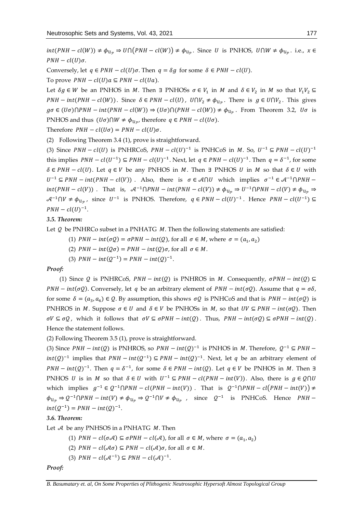$int(PNH - cl(W)) \neq \phi_{u_p} \Rightarrow U \cap (PNH - cl(W)) \neq \phi_{u_p}.$  Since U is PNHOS,  $U \cap W \neq \phi_{u_p}.$  i.e.,  $x \in$  $PNH - cl(U)\sigma.$ 

Conversely, let  $q \in PNH - cl(U)\sigma$ . Then  $q = \delta q$  for some  $\delta \in PNH - cl(U)$ .

To prove  $PMH - cl(U)a \subseteq PMH - cl(Ua)$ .

Let  $\delta g \in W$  be an PNHOS in M. Then  $\exists$  PNHOSs  $\sigma \in V_1$  in M and  $\delta \in V_2$  in M so that  $V_1V_2 \subseteq$  $PMH - int(PNH - cl(W))$ . Since  $\delta \in PMH - cl(U)$ ,  $U \cap V_2 \neq \phi_{U_p}$ . There is  $g \in U \cap V_2$ . This gives  $g\sigma \in (U\sigma)\cap PMH - int(PNH - cl(W)) \Rightarrow (U\sigma)\cap (PNH - cl(W)) \neq \phi_{U_{\mathcal{P}}}$ . From Theorem 3.2,  $U\sigma$  is PNHOS and thus  $(U\sigma) \cap W \neq \phi_{\mathcal{U}_{\mathcal{P}}},$  therefore  $q \in \mathit{PNH} - \mathit{cl}(U\sigma)$ .

Therefore  $PMH - cl(U\sigma) = PMH - cl(U)\sigma$ .

(2) Following Theorem 3.4 (1), prove is straightforward.

(3) Since  $PMH - cl(U)$  is PNHRCoS,  $PMH - cl(U)^{-1}$  is PNHCoS in M. So,  $U^{-1} \subseteq PMH - cl(U)^{-1}$ this implies  $PMH - cl(U^{-1}) \subseteq PMH - cl(U)^{-1}$ . Next, let  $q \in PMH - cl(U)^{-1}$ . Then  $q = \delta^{-1}$ , for some  $\delta \in PNH - cl(U)$ . Let  $q \in V$  be any PNHOS in M. Then ∃ PNHOS U in M so that  $\delta \in U$  with  $U^{-1} \subseteq PNH - int(PNH - cl(V))$ . Also, there is  $\sigma \in \mathcal{A} \cap U$  which implies  $\sigma^{-1} \in \mathcal{A}^{-1} \cap PNH$  $int(PNH - cl(V))$ . That is,  $\mathcal{A}^{-1}\cap PNH - int(PNH - cl(V)) \neq \phi_{U_{\mathcal{P}}} \Rightarrow U^{-1}\cap PNH - cl(V) \neq \phi_{U_{\mathcal{P}}} \Rightarrow$  $\mathcal{A}^{-1} \cap V \neq \phi_{u_p}$ , since  $U^{-1}$  is PNHOS. Therefore,  $q \in PNH - cl(U)^{-1}$ . Hence  $PNH - cl(U^{-1}) \subseteq$  $PNH-cl(U)^{-1}.$ 

#### *3.5. Theorem:*

Let  $Q$  be PNHRCo subset in a PNHATG  $M$ . Then the following statements are satisfied:

- (1)  $PNH int(\sigma Q) = \sigma PNH int(Q)$ , for all  $\sigma \in M$ , where  $\sigma = (a_1, a_2)$
- (2)  $PNH int(Q\sigma) = PNH int(Q)\sigma$ , for all  $\sigma \in M$ .
- (3)  $PNH int(Q^{-1}) = PNH int(Q)^{-1}$ .

#### *Proof:*

(1) Since Q is PNHRCoS,  $PMH - int(Q)$  is PNHROS in M. Consequently,  $\sigma PNH - int(Q) \subseteq$  $PMH - int(\sigma Q)$ . Conversely, let q be an arbitrary element of  $PMH - int(\sigma Q)$ . Assume that  $q = \sigma \delta$ , for some  $\delta = (a_3, a_4) \in \mathcal{Q}$ . By assumption, this shows  $\sigma \mathcal{Q}$  is PNHCoS and that is  $PNH - int(\sigma \mathcal{Q})$  is PNHROS in M. Suppose  $\sigma \in U$  and  $\delta \in V$  be PNHOSs in M, so that  $UV \subseteq PNH - int(\sigma Q)$ . Then  $\sigma V \subseteq \sigma Q$ , which it follows that  $\sigma V \subseteq \sigma PNH - int(Q)$ . Thus,  $PNH - int(\sigma Q) \subseteq \sigma PNH - int(Q)$ . Hence the statement follows.

(2) Following Theorem 3.5 (1), prove is straightforward.

(3) Since  $PMH - int(Q)$  is PNHROS, so  $PMH - int(Q)^{-1}$  is PNHOS in M. Therefore,  $Q^{-1} \subseteq PMH$  $int(Q)^{-1}$  implies that  $PMH - int(Q^{-1})$  ⊆  $PMH - int(Q)^{-1}$ . Next, let q be an arbitrary element of *PNH* –  $int(Q)^{-1}$ . Then  $q = \delta^{-1}$ , for some  $\delta \in PNH - int(Q)$ . Let  $q \in V$  be PNHOS in *M*. Then ∃ PNHOS U is in M so that  $\delta \in U$  with  $U^{-1} \subseteq PNH - cl(PNH - int(V))$ . Also, there is  $g \in Q \cap U$ which implies  $g^{-1} \in Q^{-1} \cap PNH - cl(PNH - int(V))$ . That is  $Q^{-1} \cap PNH - cl(PNH - int(V)) \neq$  $\phi_{u_p} \Rightarrow Q^{-1} \cap PNH - int(V) \neq \phi_{u_p} \Rightarrow Q^{-1} \cap V \neq \phi_{u_p}$ , since  $Q^{-1}$  is PNHCoS. Hence  $PMH$  $int(Q^{-1}) = PNH - int(Q)^{-1}.$ 

# *3.6. Theorem:*

Let  $A$  be any PNHSOS in a PNHATG  $M$ . Then

- (1)  $PNH cl(\sigma \mathcal{A}) \subseteq \sigma PNH cl(\mathcal{A})$ , for all  $\sigma \in M$ , where  $\sigma = (\alpha_1, \alpha_2)$
- (2)  $PNH cl(\mathcal{A}\sigma) \subseteq PNH cl(\mathcal{A})\sigma$ , for all  $\sigma \in M$ .
- (3)  $PNH cl(\mathcal{A}^{-1}) \subseteq PNH cl(\mathcal{A})^{-1}$ .

*Proof:*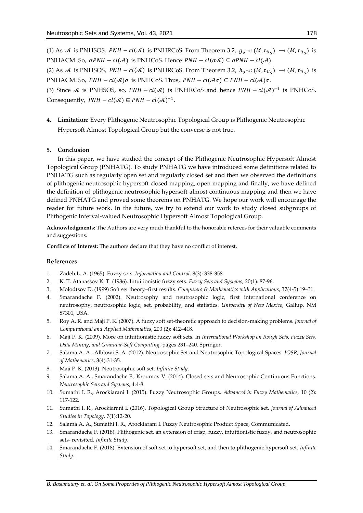(1) As A is PNHSOS,  $PMH - cl(A)$  is PNHRCoS. From Theorem 3.2,  $g_{\sigma^{-1}}: (M, \tau_{u_G}) \to (M, \tau_{u_G})$  is PNHACM. So,  $\sigma PNH - cl(\mathcal{A})$  is PNHCoS. Hence  $PMH - cl(\sigma \mathcal{A}) \subseteq \sigma PNH - cl(\mathcal{A})$ . (2) As A is PNHSOS,  $PMH - cl(A)$  is PNHRCoS. From Theorem 3.2,  $h_{\sigma^{-1}}: (M, \tau_{u_G}) \to (M, \tau_{u_G})$  is PNHACM. So,  $PMH - cl(A)\sigma$  is PNHCoS. Thus,  $PMH - cl(\mathcal{A}\sigma) \subseteq PMH - cl(\mathcal{A})\sigma$ . (3) Since A is PNHSOS, so,  $PNH - cl(\mathcal{A})$  is PNHRCoS and hence  $PNH - cl(\mathcal{A})^{-1}$  is PNHCoS.

Consequently,  $PMH - cl(\mathcal{A}) \subseteq PMH - cl(\mathcal{A})^{-1}$ .

4. **Limitation:** Every Plithogenic Neutrosophic Topological Group is Plithogenic Neutrosophic Hypersoft Almost Topological Group but the converse is not true.

# **5. Conclusion**

In this paper, we have studied the concept of the Plithogenic Neutrosophic Hypersoft Almost Topological Group (PNHATG). To study PNHATG we have introduced some definitions related to PNHATG such as regularly open set and regularly closed set and then we observed the definitions of plithogenic neutrosophic hypersoft closed mapping, open mapping and finally, we have defined the definition of plithogenic neutrosophic hypersoft almost continuous mapping and then we have defined PNHATG and proved some theorems on PNHATG. We hope our work will encourage the reader for future work. In the future, we try to extend our work to study closed subgroups of Plithogenic Interval-valued Neutrosophic Hypersoft Almost Topological Group.

**Acknowledgments:** The Authors are very much thankful to the honorable referees for their valuable comments and suggestions.

**Conflicts of Interest:** The authors declare that they have no conflict of interest.

# **References**

- 1. Zadeh L. A. (1965). Fuzzy sets. *Information and Control*, 8(3): 338-358.
- 2. K. T. Atanassov K. T. (1986). Intuitionistic fuzzy sets. *Fuzzy Sets and Systems*, 20(1): 87-96.
- 3. Molodtsov D. (1999) Soft set theory–first results. *Computers & Mathematics with Applications*, 37(4-5):19–31.
- 4. Smarandache F. (2002). Neutrosophy and neutrosophic logic, first international conference on neutrosophy, neutrosophic logic, set, probability, and statistics. *University of New Mexico*, Gallup, NM 87301, USA.
- 5. Roy A. R. and Maji P. K. (2007). A fuzzy soft set-theoretic approach to decision-making problems. *Journal of Computational and Applied Mathematics*, 203 (2): 412–418.
- 6. Maji P. K. (2009). More on intuitionistic fuzzy soft sets. In *International Workshop on Rough Sets, Fuzzy Sets, Data Mining, and Granular-Soft Computing*, pages 231–240. Springer.
- 7. Salama A. A., Alblowi S. A. (2012). Neutrosophic Set and Neutrosophic Topological Spaces. *IOSR, Journal of Mathematics*, 3(4):31-35.
- 8. Maji P. K. (2013). Neutrosophic soft set. *Infinite Study*.
- 9. Salama A. A., Smarandache F., Kroumov V. (2014). Closed sets and Neutrosophic Continuous Functions*. Neutrosophic Sets and Systems*, 4:4-8.
- 10. Sumathi I. R., Arockiarani I. (2015). Fuzzy Neutrosophic Groups. *Advanced in Fuzzy Mathematics,* 10 (2): 117-122.
- 11. Sumathi I. R., Arockiarani I. (2016). Topological Group Structure of Neutrosophic set. *Journal of Advanced Studies in Topology*, 7(1):12-20.
- 12. Salama A. A., Sumathi I. R., Arockiarani I. Fuzzy Neutrosophic Product Space, Communicated.
- 13. Smarandache F. (2018). Plithogenic set, an extension of crisp, fuzzy, intuitionistic fuzzy, and neutrosophic sets- revisited*. Infinite Study*.
- 14. Smarandache F. (2018). Extension of soft set to hypersoft set, and then to plithogenic hypersoft set. *Infinite Study*.